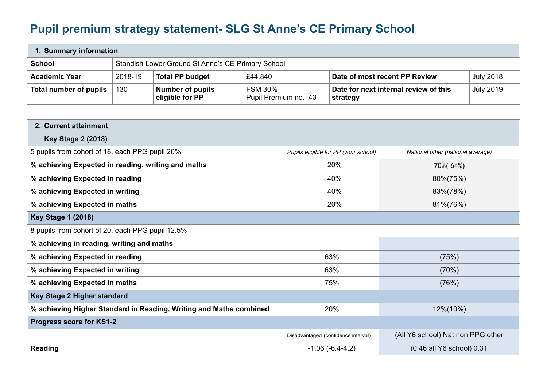## **Pupil premium strategy statement- SLG St Anne's CE Primary School**

| 1. Summary information |         |                                                   |                                        |                                                   |                  |
|------------------------|---------|---------------------------------------------------|----------------------------------------|---------------------------------------------------|------------------|
| <b>School</b>          |         | Standish Lower Ground St Anne's CE Primary School |                                        |                                                   |                  |
| <b>Academic Year</b>   | 2018-19 | <b>Total PP budget</b>                            | £44,840                                | Date of most recent PP Review                     | <b>July 2018</b> |
| Total number of pupils | 130     | <b>Number of pupils</b><br>eligible for PP        | <b>FSM 30%</b><br>Pupil Premium no. 43 | Date for next internal review of this<br>strategy | <b>July 2019</b> |

| 2. Current attainment                                              |                                      |                                   |  |  |
|--------------------------------------------------------------------|--------------------------------------|-----------------------------------|--|--|
| <b>Key Stage 2 (2018)</b>                                          |                                      |                                   |  |  |
| 5 pupils from cohort of 18, each PPG pupil 20%                     | Pupils eligible for PP (your school) | National other (national average) |  |  |
| % achieving Expected in reading, writing and maths                 | 20%                                  | 70%(64%)                          |  |  |
| % achieving Expected in reading                                    | 40%                                  | 80%(75%)                          |  |  |
| % achieving Expected in writing                                    | 40%                                  | 83%(78%)                          |  |  |
| % achieving Expected in maths                                      | 20%                                  | 81%(76%)                          |  |  |
| <b>Key Stage 1 (2018)</b>                                          |                                      |                                   |  |  |
| 8 pupils from cohort of 20, each PPG pupil 12.5%                   |                                      |                                   |  |  |
| % achieving in reading, writing and maths                          |                                      |                                   |  |  |
| % achieving Expected in reading                                    | 63%                                  | (75%)                             |  |  |
| % achieving Expected in writing                                    | 63%                                  | (70%)                             |  |  |
| % achieving Expected in maths                                      | 75%                                  | (76%)                             |  |  |
| Key Stage 2 Higher standard                                        |                                      |                                   |  |  |
| % achieving Higher Standard in Reading, Writing and Maths combined | 20%                                  | 12%(10%)                          |  |  |
| Progress score for KS1-2                                           |                                      |                                   |  |  |
|                                                                    | Disadvantaged (confidence interval)  | (All Y6 school) Nat non PPG other |  |  |
| <b>Reading</b>                                                     | $-1.06(-6.4-4.2)$                    | (0.46 all Y6 school) 0.31         |  |  |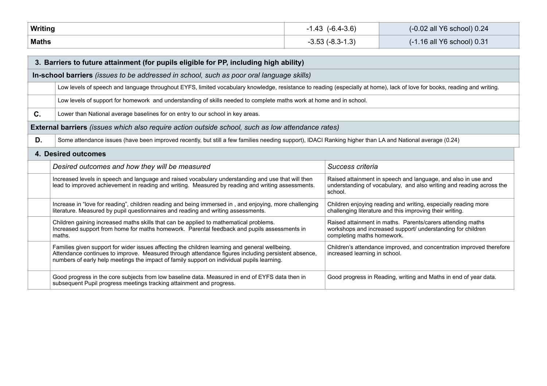| Writing      | $-1.43$ $(-6.4-3.6)$ | (-0.02 all Y6 school) 0.24 |
|--------------|----------------------|----------------------------|
| <b>Maths</b> | -3.53 (-8.3-1.3)     | (-1.16 all Y6 school) 0.31 |

| 3. Barriers to future attainment (for pupils eligible for PP, including high ability)    |                                                                                                                                                                                                                                                                                                    |                                                                                                                                                         |  |  |
|------------------------------------------------------------------------------------------|----------------------------------------------------------------------------------------------------------------------------------------------------------------------------------------------------------------------------------------------------------------------------------------------------|---------------------------------------------------------------------------------------------------------------------------------------------------------|--|--|
| In-school barriers (issues to be addressed in school, such as poor oral language skills) |                                                                                                                                                                                                                                                                                                    |                                                                                                                                                         |  |  |
|                                                                                          | Low levels of speech and language throughout EYFS, limited vocabulary knowledge, resistance to reading (especially at home), lack of love for books, reading and writing.                                                                                                                          |                                                                                                                                                         |  |  |
|                                                                                          | Low levels of support for homework and understanding of skills needed to complete maths work at home and in school.                                                                                                                                                                                |                                                                                                                                                         |  |  |
| C.                                                                                       | Lower than National average baselines for on entry to our school in key areas.                                                                                                                                                                                                                     |                                                                                                                                                         |  |  |
|                                                                                          | <b>External barriers</b> (issues which also require action outside school, such as low attendance rates)                                                                                                                                                                                           |                                                                                                                                                         |  |  |
| D.                                                                                       | Some attendance issues (have been improved recently, but still a few families needing support), IDACI Ranking higher than LA and National average (0.24)                                                                                                                                           |                                                                                                                                                         |  |  |
| 4. Desired outcomes                                                                      |                                                                                                                                                                                                                                                                                                    |                                                                                                                                                         |  |  |
|                                                                                          | Desired outcomes and how they will be measured                                                                                                                                                                                                                                                     | Success criteria                                                                                                                                        |  |  |
|                                                                                          | Increased levels in speech and language and raised vocabulary understanding and use that will then<br>lead to improved achievement in reading and writing. Measured by reading and writing assessments.                                                                                            | Raised attainment in speech and language, and also in use and<br>understanding of vocabulary, and also writing and reading across the<br>school.        |  |  |
|                                                                                          | Increase in "love for reading", children reading and being immersed in, and enjoying, more challenging<br>literature. Measured by pupil questionnaires and reading and writing assessments.                                                                                                        | Children enjoying reading and writing, especially reading more<br>challenging literature and this improving their writing.                              |  |  |
|                                                                                          | Children gaining increased maths skills that can be applied to mathematical problems.<br>Increased support from home for maths homework. Parental feedback and pupils assessments in<br>maths.                                                                                                     | Raised attainment in maths. Parents/carers attending maths<br>workshops and increased support/ understanding for children<br>completing maths homework. |  |  |
|                                                                                          | Families given support for wider issues affecting the children learning and general wellbeing.<br>Attendance continues to improve. Measured through attendance figures including persistent absence,<br>numbers of early help meetings the impact of family support on individual pupils learning. | Children's attendance improved, and concentration improved therefore<br>increased learning in school.                                                   |  |  |
|                                                                                          | Good progress in the core subjects from low baseline data. Measured in end of EYFS data then in<br>subsequent Pupil progress meetings tracking attainment and progress.                                                                                                                            | Good progress in Reading, writing and Maths in end of year data.                                                                                        |  |  |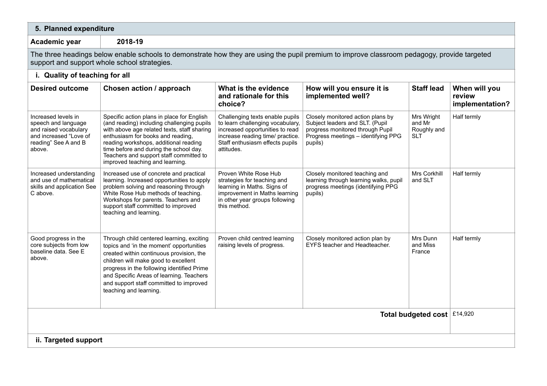| 5. Planned expenditure                                                                                                                                                                      |                                                                                                                                                                                                                                                                                                                                               |                                                                                                                                                                                             |                                                                                                                                                            |                                                   |                                            |
|---------------------------------------------------------------------------------------------------------------------------------------------------------------------------------------------|-----------------------------------------------------------------------------------------------------------------------------------------------------------------------------------------------------------------------------------------------------------------------------------------------------------------------------------------------|---------------------------------------------------------------------------------------------------------------------------------------------------------------------------------------------|------------------------------------------------------------------------------------------------------------------------------------------------------------|---------------------------------------------------|--------------------------------------------|
| 2018-19<br>Academic year                                                                                                                                                                    |                                                                                                                                                                                                                                                                                                                                               |                                                                                                                                                                                             |                                                                                                                                                            |                                                   |                                            |
| The three headings below enable schools to demonstrate how they are using the pupil premium to improve classroom pedagogy, provide targeted<br>support and support whole school strategies. |                                                                                                                                                                                                                                                                                                                                               |                                                                                                                                                                                             |                                                                                                                                                            |                                                   |                                            |
| i. Quality of teaching for all                                                                                                                                                              |                                                                                                                                                                                                                                                                                                                                               |                                                                                                                                                                                             |                                                                                                                                                            |                                                   |                                            |
| <b>Desired outcome</b>                                                                                                                                                                      | Chosen action / approach                                                                                                                                                                                                                                                                                                                      | What is the evidence<br>and rationale for this<br>choice?                                                                                                                                   | How will you ensure it is<br>implemented well?                                                                                                             | <b>Staff lead</b>                                 | When will you<br>review<br>implementation? |
| Increased levels in<br>speech and language<br>and raised vocabulary<br>and increased "Love of<br>reading" See A and B<br>above.                                                             | Specific action plans in place for English<br>(and reading) including challenging pupils<br>with above age related texts, staff sharing<br>enthusiasm for books and reading,<br>reading workshops, additional reading<br>time before and during the school day.<br>Teachers and support staff committed to<br>improved teaching and learning. | Challenging texts enable pupils<br>to learn challenging vocabulary,<br>increased opportunities to read<br>increase reading time/ practice.<br>Staff enthusiasm effects pupils<br>attitudes. | Closely monitored action plans by<br>Subject leaders and SLT. (Pupil<br>progress monitored through Pupil<br>Progress meetings - identifying PPG<br>pupils) | Mrs Wright<br>and Mr<br>Roughly and<br><b>SLT</b> | Half termly                                |
| Increased understanding<br>and use of mathematical<br>skills and application See<br>C above.                                                                                                | Increased use of concrete and practical<br>learning. Increased opportunities to apply<br>problem solving and reasoning through<br>White Rose Hub methods of teaching.<br>Workshops for parents. Teachers and<br>support staff committed to improved<br>teaching and learning.                                                                 | Proven White Rose Hub<br>strategies for teaching and<br>learning in Maths. Signs of<br>improvement in Maths learning<br>in other year groups following<br>this method.                      | Closely monitored teaching and<br>learning through learning walks, pupil<br>progress meetings (identifying PPG<br>pupils)                                  | Mrs Corkhill<br>and SLT                           | Half termly                                |
| Good progress in the<br>core subjects from low<br>baseline data. See E<br>above.                                                                                                            | Through child centered learning, exciting<br>topics and 'in the moment' opportunities<br>created within continuous provision, the<br>children will make good to excellent<br>progress in the following identified Prime<br>and Specific Areas of learning. Teachers<br>and support staff committed to improved<br>teaching and learning.      | Proven child centred learning<br>raising levels of progress.                                                                                                                                | Closely monitored action plan by<br>EYFS teacher and Headteacher.                                                                                          | Mrs Dunn<br>and Miss<br>France                    | Half termly                                |
| Total budgeted cost   £14,920                                                                                                                                                               |                                                                                                                                                                                                                                                                                                                                               |                                                                                                                                                                                             |                                                                                                                                                            |                                                   |                                            |
| ii. Targeted support                                                                                                                                                                        |                                                                                                                                                                                                                                                                                                                                               |                                                                                                                                                                                             |                                                                                                                                                            |                                                   |                                            |